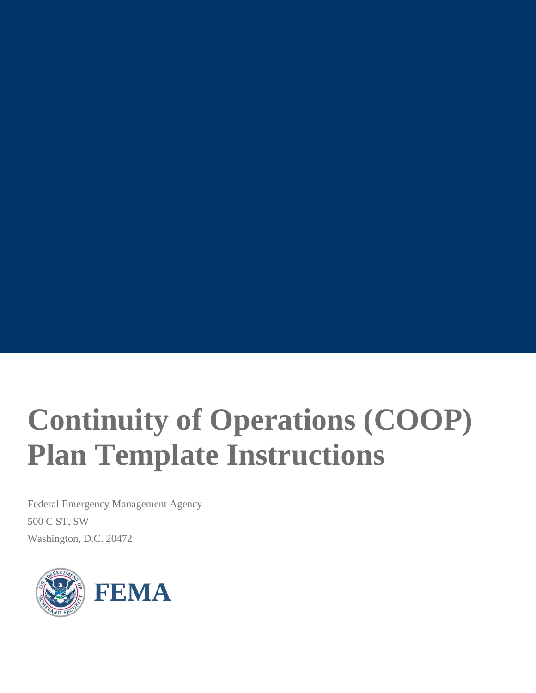# **Continuity of Operations (COOP) Plan Template Instructions**

Federal Emergency Management Agency 500 C ST, SW Washington, D.C. 20472

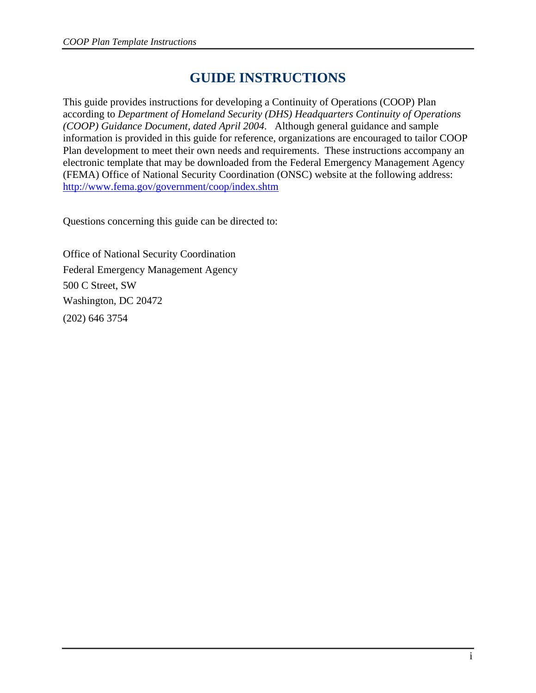# **GUIDE INSTRUCTIONS**

This guide provides instructions for developing a Continuity of Operations (COOP) Plan according to *Department of Homeland Security (DHS) Headquarters Continuity of Operations (COOP) Guidance Document, dated April 2004*. Although general guidance and sample information is provided in this guide for reference, organizations are encouraged to tailor COOP Plan development to meet their own needs and requirements. These instructions accompany an electronic template that may be downloaded from the Federal Emergency Management Agency (FEMA) Office of National Security Coordination (ONSC) website at the following address: http://www.fema.gov/government/coop/index.shtm

Questions concerning this guide can be directed to:

Office of National Security Coordination Federal Emergency Management Agency 500 C Street, SW Washington, DC 20472 (202) 646 3754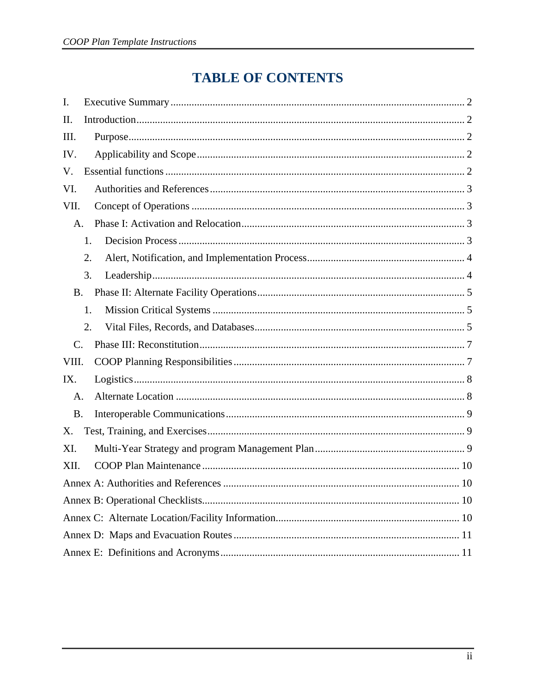# **TABLE OF CONTENTS**

| I.             |    |  |  |  |  |
|----------------|----|--|--|--|--|
| П.             |    |  |  |  |  |
| III.           |    |  |  |  |  |
| IV.            |    |  |  |  |  |
| V.             |    |  |  |  |  |
| VI.            |    |  |  |  |  |
| VII.           |    |  |  |  |  |
| A.             |    |  |  |  |  |
|                | 1. |  |  |  |  |
|                | 2. |  |  |  |  |
|                | 3. |  |  |  |  |
| <b>B.</b>      |    |  |  |  |  |
|                | 1. |  |  |  |  |
|                | 2. |  |  |  |  |
| $\mathbf{C}$ . |    |  |  |  |  |
| VIII.          |    |  |  |  |  |
| IX.            |    |  |  |  |  |
| A.             |    |  |  |  |  |
| <b>B.</b>      |    |  |  |  |  |
| X.             |    |  |  |  |  |
| XI.            |    |  |  |  |  |
| XII.           |    |  |  |  |  |
|                |    |  |  |  |  |
|                |    |  |  |  |  |
|                |    |  |  |  |  |
|                |    |  |  |  |  |
|                |    |  |  |  |  |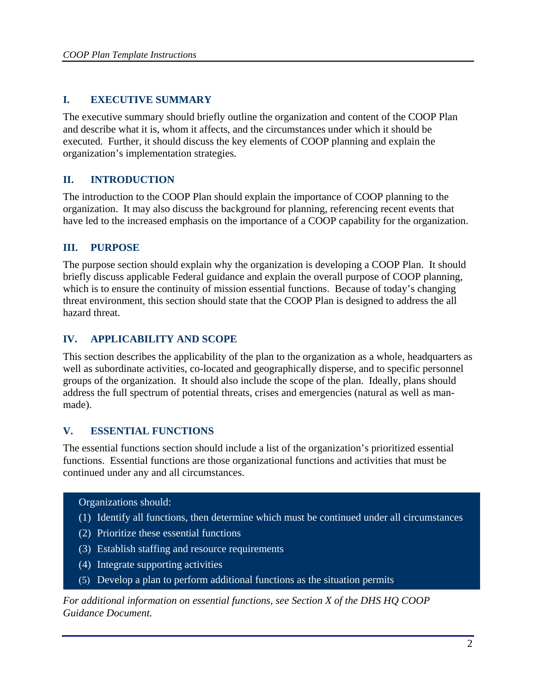# **I. EXECUTIVE SUMMARY**

The executive summary should briefly outline the organization and content of the COOP Plan and describe what it is, whom it affects, and the circumstances under which it should be executed. Further, it should discuss the key elements of COOP planning and explain the organization's implementation strategies.

# **II. INTRODUCTION**

The introduction to the COOP Plan should explain the importance of COOP planning to the organization. It may also discuss the background for planning, referencing recent events that have led to the increased emphasis on the importance of a COOP capability for the organization.

# **III. PURPOSE**

The purpose section should explain why the organization is developing a COOP Plan. It should briefly discuss applicable Federal guidance and explain the overall purpose of COOP planning, which is to ensure the continuity of mission essential functions. Because of today's changing threat environment, this section should state that the COOP Plan is designed to address the all hazard threat.

# **IV. APPLICABILITY AND SCOPE**

This section describes the applicability of the plan to the organization as a whole, headquarters as well as subordinate activities, co-located and geographically disperse, and to specific personnel groups of the organization. It should also include the scope of the plan. Ideally, plans should address the full spectrum of potential threats, crises and emergencies (natural as well as manmade).

## **V. ESSENTIAL FUNCTIONS**

The essential functions section should include a list of the organization's prioritized essential functions. Essential functions are those organizational functions and activities that must be continued under any and all circumstances.

#### Organizations should:

- (1) Identify all functions, then determine which must be continued under all circumstances
- (2) Prioritize these essential functions
- (3) Establish staffing and resource requirements
- (4) Integrate supporting activities
- (5) Develop a plan to perform additional functions as the situation permits.

*For additional information on essential functions, see Section X of the DHS HQ COOP Guidance Document.*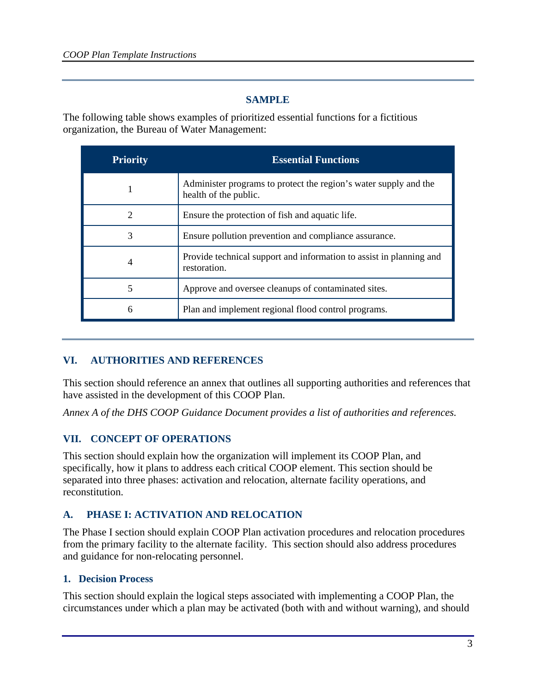# **SAMPLE**

The following table shows examples of prioritized essential functions for a fictitious organization, the Bureau of Water Management:

| <b>Priority</b>             | <b>Essential Functions</b>                                                                |
|-----------------------------|-------------------------------------------------------------------------------------------|
|                             | Administer programs to protect the region's water supply and the<br>health of the public. |
| $\mathcal{D}_{\mathcal{L}}$ | Ensure the protection of fish and aquatic life.                                           |
| 3                           | Ensure pollution prevention and compliance assurance.                                     |
|                             | Provide technical support and information to assist in planning and<br>restoration.       |
| 5                           | Approve and oversee cleanups of contaminated sites.                                       |
| 6                           | Plan and implement regional flood control programs.                                       |

## **VI. AUTHORITIES AND REFERENCES**

This section should reference an annex that outlines all supporting authorities and references that have assisted in the development of this COOP Plan.

*Annex A of the DHS COOP Guidance Document provides a list of authorities and references.*

## **VII. CONCEPT OF OPERATIONS**

This section should explain how the organization will implement its COOP Plan, and specifically, how it plans to address each critical COOP element. This section should be separated into three phases: activation and relocation, alternate facility operations, and reconstitution.

# **A. PHASE I: ACTIVATION AND RELOCATION**

The Phase I section should explain COOP Plan activation procedures and relocation procedures from the primary facility to the alternate facility. This section should also address procedures and guidance for non-relocating personnel.

#### **1. Decision Process**

This section should explain the logical steps associated with implementing a COOP Plan, the circumstances under which a plan may be activated (both with and without warning), and should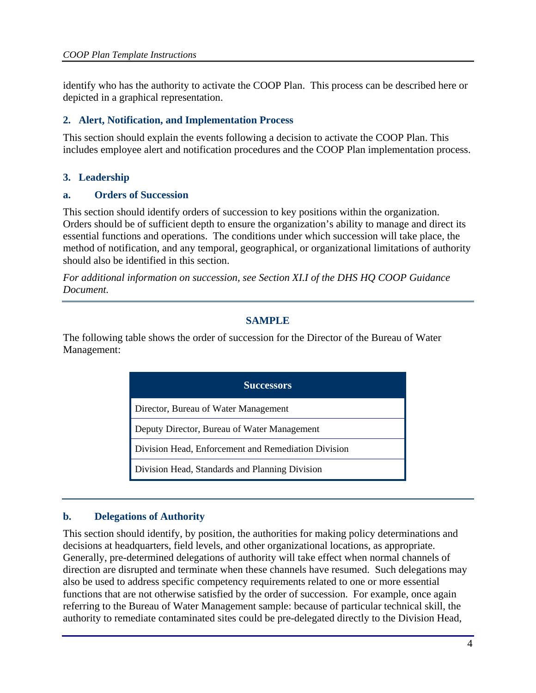identify who has the authority to activate the COOP Plan. This process can be described here or depicted in a graphical representation.

#### **2. Alert, Notification, and Implementation Process**

This section should explain the events following a decision to activate the COOP Plan. This includes employee alert and notification procedures and the COOP Plan implementation process.

## **3. Leadership**

#### **a. Orders of Succession**

This section should identify orders of succession to key positions within the organization. Orders should be of sufficient depth to ensure the organization's ability to manage and direct its essential functions and operations. The conditions under which succession will take place, the method of notification, and any temporal, geographical, or organizational limitations of authority should also be identified in this section.

*For additional information on succession, see Section XI.I of the DHS HQ COOP Guidance Document.* 

#### **SAMPLE**

The following table shows the order of succession for the Director of the Bureau of Water Management:

| <b>Successors</b>                                   |  |
|-----------------------------------------------------|--|
| Director, Bureau of Water Management                |  |
| Deputy Director, Bureau of Water Management         |  |
| Division Head, Enforcement and Remediation Division |  |
| Division Head, Standards and Planning Division      |  |

## **b. Delegations of Authority**

This section should identify, by position, the authorities for making policy determinations and decisions at headquarters, field levels, and other organizational locations, as appropriate. Generally, pre-determined delegations of authority will take effect when normal channels of direction are disrupted and terminate when these channels have resumed. Such delegations may also be used to address specific competency requirements related to one or more essential functions that are not otherwise satisfied by the order of succession. For example, once again referring to the Bureau of Water Management sample: because of particular technical skill, the authority to remediate contaminated sites could be pre-delegated directly to the Division Head,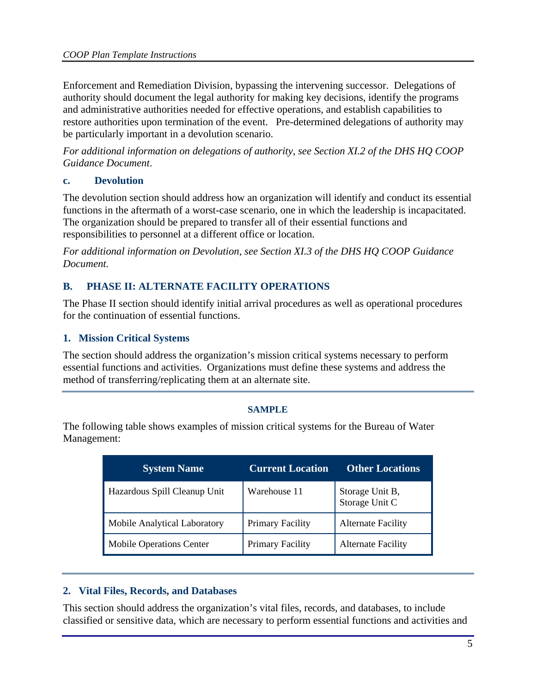Enforcement and Remediation Division, bypassing the intervening successor. Delegations of authority should document the legal authority for making key decisions, identify the programs and administrative authorities needed for effective operations, and establish capabilities to restore authorities upon termination of the event. Pre-determined delegations of authority may be particularly important in a devolution scenario.

*For additional information on delegations of authority, see Section XI.2 of the DHS HQ COOP Guidance Document*.

## **c. Devolution**

The devolution section should address how an organization will identify and conduct its essential functions in the aftermath of a worst-case scenario, one in which the leadership is incapacitated. The organization should be prepared to transfer all of their essential functions and responsibilities to personnel at a different office or location.

*For additional information on Devolution, see Section XI.3 of the DHS HQ COOP Guidance Document.* 

# **B. PHASE II: ALTERNATE FACILITY OPERATIONS**

The Phase II section should identify initial arrival procedures as well as operational procedures for the continuation of essential functions.

# **1. Mission Critical Systems**

The section should address the organization's mission critical systems necessary to perform essential functions and activities. Organizations must define these systems and address the method of transferring/replicating them at an alternate site.

#### **SAMPLE**

The following table shows examples of mission critical systems for the Bureau of Water Management:

| <b>System Name</b>              | <b>Current Location</b> | <b>Other Locations</b>            |
|---------------------------------|-------------------------|-----------------------------------|
| Hazardous Spill Cleanup Unit    | Warehouse 11            | Storage Unit B,<br>Storage Unit C |
| Mobile Analytical Laboratory    | <b>Primary Facility</b> | <b>Alternate Facility</b>         |
| <b>Mobile Operations Center</b> | <b>Primary Facility</b> | <b>Alternate Facility</b>         |

## **2. Vital Files, Records, and Databases**

This section should address the organization's vital files, records, and databases, to include classified or sensitive data, which are necessary to perform essential functions and activities and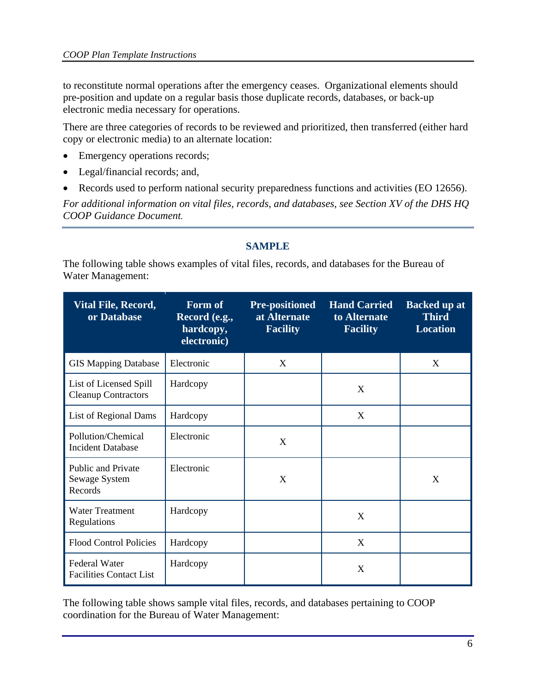to reconstitute normal operations after the emergency ceases. Organizational elements should pre-position and update on a regular basis those duplicate records, databases, or back-up electronic media necessary for operations.

There are three categories of records to be reviewed and prioritized, then transferred (either hard copy or electronic media) to an alternate location:

- Emergency operations records;
- Legal/financial records; and,
- Records used to perform national security preparedness functions and activities (EO 12656).

*For additional information on vital files, records, and databases, see Section XV of the DHS HQ COOP Guidance Document.* 

## **SAMPLE**

The following table shows examples of vital files, records, and databases for the Bureau of Water Management:

| Vital File, Record,<br>or Database                     | Form of<br>Record (e.g.,<br>hardcopy,<br>electronic) | <b>Pre-positioned</b><br>at Alternate<br><b>Facility</b> | <b>Hand Carried</b><br>to Alternate<br><b>Facility</b> | <b>Backed up at</b><br><b>Third</b><br><b>Location</b> |
|--------------------------------------------------------|------------------------------------------------------|----------------------------------------------------------|--------------------------------------------------------|--------------------------------------------------------|
| <b>GIS Mapping Database</b>                            | Electronic                                           | X                                                        |                                                        | X                                                      |
| List of Licensed Spill<br><b>Cleanup Contractors</b>   | Hardcopy                                             |                                                          | X                                                      |                                                        |
| List of Regional Dams                                  | Hardcopy                                             |                                                          | X                                                      |                                                        |
| Pollution/Chemical<br><b>Incident Database</b>         | Electronic                                           | X                                                        |                                                        |                                                        |
| <b>Public and Private</b><br>Sewage System<br>Records  | Electronic                                           | X                                                        |                                                        | X                                                      |
| <b>Water Treatment</b><br>Regulations                  | Hardcopy                                             |                                                          | X                                                      |                                                        |
| <b>Flood Control Policies</b>                          | Hardcopy                                             |                                                          | X                                                      |                                                        |
| <b>Federal Water</b><br><b>Facilities Contact List</b> | Hardcopy                                             |                                                          | X                                                      |                                                        |

The following table shows sample vital files, records, and databases pertaining to COOP coordination for the Bureau of Water Management: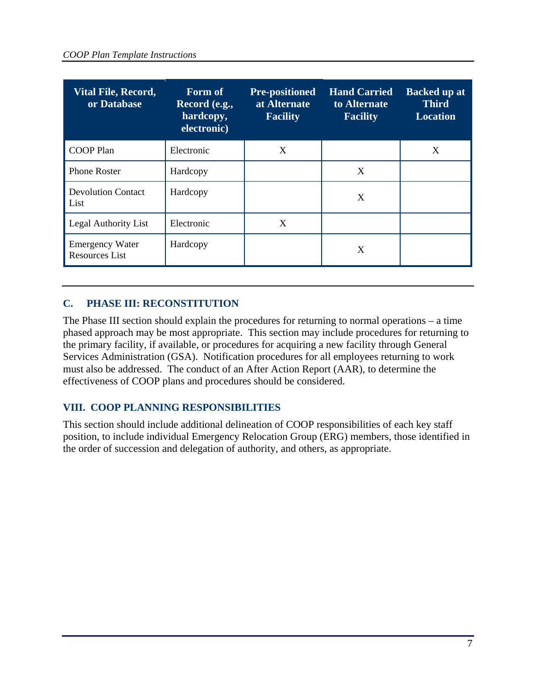| <b>Vital File, Record,</b><br>or Database       | Form of<br>Record (e.g.,<br>hardcopy,<br>electronic) | <b>Pre-positioned</b><br>at Alternate<br><b>Facility</b> | <b>Hand Carried</b><br>to Alternate<br><b>Facility</b> | <b>Backed up at</b><br><b>Third</b><br><b>Location</b> |
|-------------------------------------------------|------------------------------------------------------|----------------------------------------------------------|--------------------------------------------------------|--------------------------------------------------------|
| <b>COOP Plan</b>                                | Electronic                                           | X                                                        |                                                        | X                                                      |
| <b>Phone Roster</b>                             | Hardcopy                                             |                                                          | X                                                      |                                                        |
| <b>Devolution Contact</b><br>List               | Hardcopy                                             |                                                          | X                                                      |                                                        |
| Legal Authority List                            | Electronic                                           | X                                                        |                                                        |                                                        |
| <b>Emergency Water</b><br><b>Resources List</b> | Hardcopy                                             |                                                          | X                                                      |                                                        |

# **C. PHASE III: RECONSTITUTION**

The Phase III section should explain the procedures for returning to normal operations – a time phased approach may be most appropriate. This section may include procedures for returning to the primary facility, if available, or procedures for acquiring a new facility through General Services Administration (GSA). Notification procedures for all employees returning to work must also be addressed. The conduct of an After Action Report (AAR), to determine the effectiveness of COOP plans and procedures should be considered.

# **VIII. COOP PLANNING RESPONSIBILITIES**

This section should include additional delineation of COOP responsibilities of each key staff position, to include individual Emergency Relocation Group (ERG) members, those identified in the order of succession and delegation of authority, and others, as appropriate.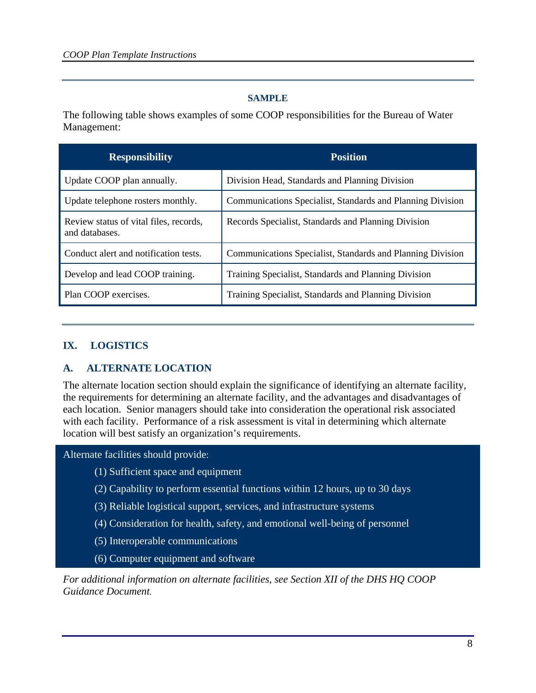#### **SAMPLE**

The following table shows examples of some COOP responsibilities for the Bureau of Water Management:

| <b>Responsibility</b>                                    | <b>Position</b>                                            |
|----------------------------------------------------------|------------------------------------------------------------|
| Update COOP plan annually.                               | Division Head, Standards and Planning Division             |
| Update telephone rosters monthly.                        | Communications Specialist, Standards and Planning Division |
| Review status of vital files, records,<br>and databases. | Records Specialist, Standards and Planning Division        |
| Conduct alert and notification tests.                    | Communications Specialist, Standards and Planning Division |
| Develop and lead COOP training.                          | Training Specialist, Standards and Planning Division       |
| Plan COOP exercises.                                     | Training Specialist, Standards and Planning Division       |

#### **IX. LOGISTICS**

## **A. ALTERNATE LOCATION**

The alternate location section should explain the significance of identifying an alternate facility, the requirements for determining an alternate facility, and the advantages and disadvantages of each location. Senior managers should take into consideration the operational risk associated with each facility. Performance of a risk assessment is vital in determining which alternate location will best satisfy an organization's requirements.

Alternate facilities should provide:

- (1) Sufficient space and equipment
- (2) Capability to perform essential functions within 12 hours, up to 30 days
- (3) Reliable logistical support, services, and infrastructure systems
- (4) Consideration for health, safety, and emotional well-being of personnel
- (5) Interoperable communications
- (6) Computer equipment and software

*For additional information on alternate facilities, see Section XII of the DHS HQ COOP Guidance Document.*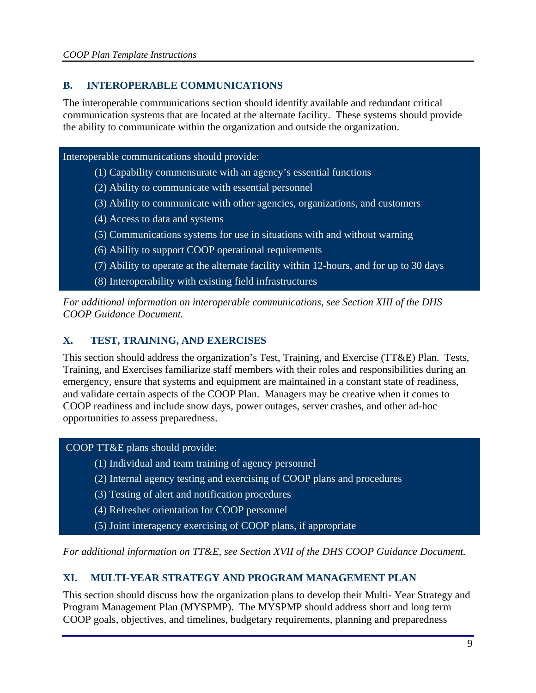# **B. INTEROPERABLE COMMUNICATIONS**

The interoperable communications section should identify available and redundant critical communication systems that are located at the alternate facility. These systems should provide the ability to communicate within the organization and outside the organization.

#### Interoperable communications should provide:

- (1) Capability commensurate with an agency's essential functions
- (2) Ability to communicate with essential personnel
- (3) Ability to communicate with other agencies, organizations, and customers
- (4) Access to data and systems
- (5) Communications systems for use in situations with and without warning
- (6) Ability to support COOP operational requirements
- (7) Ability to operate at the alternate facility within 12-hours, and for up to 30 days
- (8) Interoperability with existing field infrastructures

*For additional information on interoperable communications, see Section XIII of the DHS COOP Guidance Document.* 

#### **X. TEST, TRAINING, AND EXERCISES**

This section should address the organization's Test, Training, and Exercise (TT&E) Plan. Tests, Training, and Exercises familiarize staff members with their roles and responsibilities during an emergency, ensure that systems and equipment are maintained in a constant state of readiness, and validate certain aspects of the COOP Plan. Managers may be creative when it comes to COOP readiness and include snow days, power outages, server crashes, and other ad-hoc opportunities to assess preparedness.

:COOP TT&E plans should provide:

- (1) Individual and team training of agency personnel
- (2) Internal agency testing and exercising of COOP plans and procedures
- (3) Testing of alert and notification procedures
- (4) Refresher orientation for COOP personnel
- (5) Joint interagency exercising of COOP plans, if appropriate

*For additional information on TT&E, see Section XVII of the DHS COOP Guidance Document.*

## **XI. MULTI-YEAR STRATEGY AND PROGRAM MANAGEMENT PLAN**

This section should discuss how the organization plans to develop their Multi- Year Strategy and Program Management Plan (MYSPMP). The MYSPMP should address short and long term COOP goals, objectives, and timelines, budgetary requirements, planning and preparedness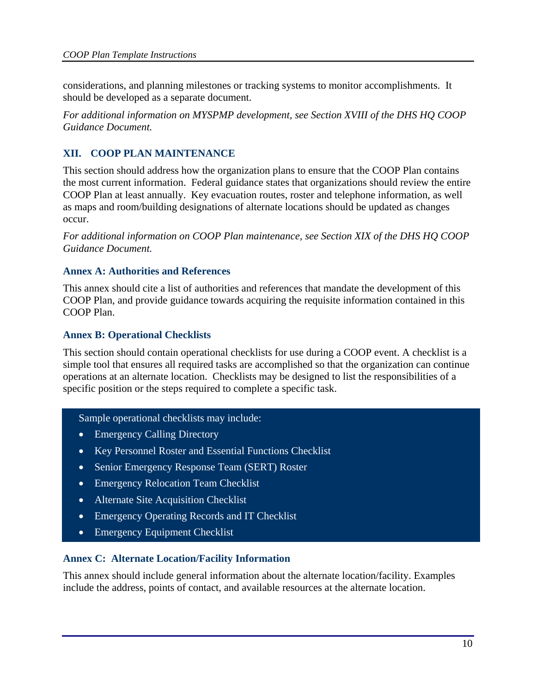considerations, and planning milestones or tracking systems to monitor accomplishments. It should be developed as a separate document.

*For additional information on MYSPMP development, see Section XVIII of the DHS HQ COOP Guidance Document.*

# **XII. COOP PLAN MAINTENANCE**

This section should address how the organization plans to ensure that the COOP Plan contains the most current information. Federal guidance states that organizations should review the entire COOP Plan at least annually. Key evacuation routes, roster and telephone information, as well as maps and room/building designations of alternate locations should be updated as changes occur.

*For additional information on COOP Plan maintenance, see Section XIX of the DHS HQ COOP Guidance Document.* 

#### **Annex A: Authorities and References**

This annex should cite a list of authorities and references that mandate the development of this COOP Plan, and provide guidance towards acquiring the requisite information contained in this COOP Plan.

#### **Annex B: Operational Checklists**

This section should contain operational checklists for use during a COOP event. A checklist is a simple tool that ensures all required tasks are accomplished so that the organization can continue operations at an alternate location. Checklists may be designed to list the responsibilities of a specific position or the steps required to complete a specific task.

Sample operational checklists may include:

- Emergency Calling Directory
- Key Personnel Roster and Essential Functions Checklist
- Senior Emergency Response Team (SERT) Roster
- **Emergency Relocation Team Checklist**
- Alternate Site Acquisition Checklist
- Emergency Operating Records and IT Checklist
- Emergency Equipment Checklist

#### **Annex C: Alternate Location/Facility Information**

This annex should include general information about the alternate location/facility. Examples include the address, points of contact, and available resources at the alternate location.